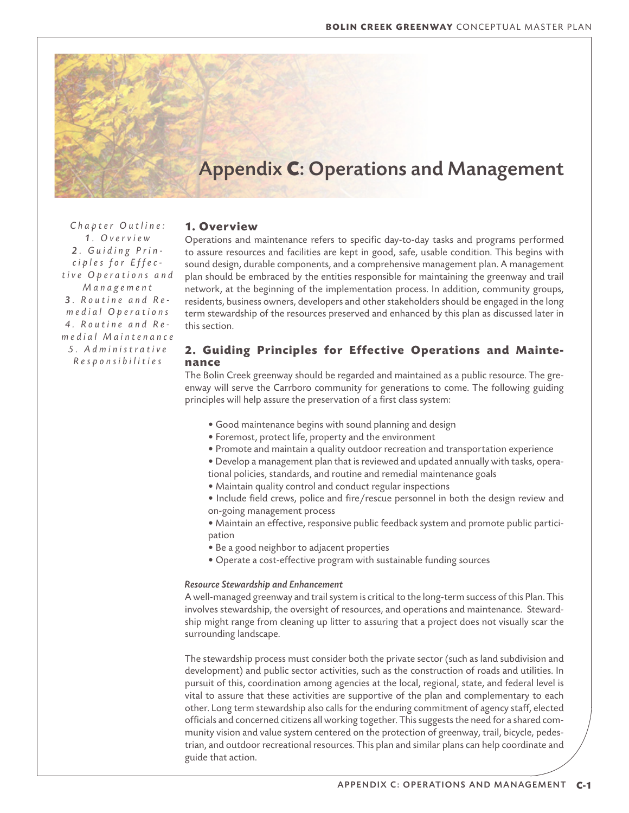# Appendix **C**: Operations and Management

*Chapter Outline: 1 . O v e r v i e w 2 . G u i d i n g P r i n c i p l e s f o r E f f e c t i v e O p e r a t i o n s a n d M a n a g e m e n t 3 . R o u t i n e a n d R e m e d i a l O p e r a t i o n s 4 . R o u t i n e a n d R e m e d i a l M a i n t e n a n c e 5 . A d m i n i s t r a t i v e R e s p o n s i b i l i t i e s*

# **1. Overview**

Operations and maintenance refers to specific day-to-day tasks and programs performed to assure resources and facilities are kept in good, safe, usable condition. This begins with sound design, durable components, and a comprehensive management plan. A management plan should be embraced by the entities responsible for maintaining the greenway and trail network, at the beginning of the implementation process. In addition, community groups, residents, business owners, developers and other stakeholders should be engaged in the long term stewardship of the resources preserved and enhanced by this plan as discussed later in this section.

# **2. Guiding Principles for Effective Operations and Maintenance**

The Bolin Creek greenway should be regarded and maintained as a public resource. The greenway will serve the Carrboro community for generations to come. The following guiding principles will help assure the preservation of a first class system:

- Good maintenance begins with sound planning and design
- Foremost, protect life, property and the environment
- Promote and maintain a quality outdoor recreation and transportation experience
- Develop a management plan that is reviewed and updated annually with tasks, opera-
- tional policies, standards, and routine and remedial maintenance goals
- Maintain quality control and conduct regular inspections
- Include field crews, police and fire/rescue personnel in both the design review and on-going management process
- Maintain an effective, responsive public feedback system and promote public participation
- Be a good neighbor to adjacent properties
- Operate a cost-effective program with sustainable funding sources

## *Resource Stewardship and Enhancement*

A well-managed greenway and trail system is critical to the long-term success of this Plan. This involves stewardship, the oversight of resources, and operations and maintenance. Stewardship might range from cleaning up litter to assuring that a project does not visually scar the surrounding landscape.

The stewardship process must consider both the private sector (such as land subdivision and development) and public sector activities, such as the construction of roads and utilities. In pursuit of this, coordination among agencies at the local, regional, state, and federal level is vital to assure that these activities are supportive of the plan and complementary to each other. Long term stewardship also calls for the enduring commitment of agency staff, elected officials and concerned citizens all working together. This suggests the need for a shared community vision and value system centered on the protection of greenway, trail, bicycle, pedestrian, and outdoor recreational resources. This plan and similar plans can help coordinate and guide that action.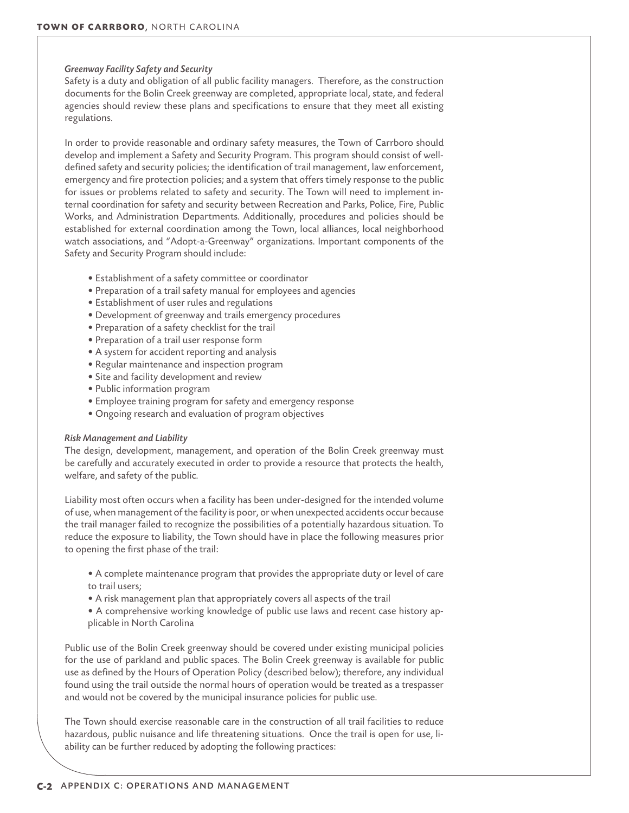# *Greenway Facility Safety and Security*

Safety is a duty and obligation of all public facility managers. Therefore, as the construction documents for the Bolin Creek greenway are completed, appropriate local, state, and federal agencies should review these plans and specifications to ensure that they meet all existing regulations.

In order to provide reasonable and ordinary safety measures, the Town of Carrboro should develop and implement a Safety and Security Program. This program should consist of welldefined safety and security policies; the identification of trail management, law enforcement, emergency and fire protection policies; and a system that offers timely response to the public for issues or problems related to safety and security. The Town will need to implement internal coordination for safety and security between Recreation and Parks, Police, Fire, Public Works, and Administration Departments. Additionally, procedures and policies should be established for external coordination among the Town, local alliances, local neighborhood watch associations, and "Adopt-a-Greenway" organizations. Important components of the Safety and Security Program should include:

- Establishment of a safety committee or coordinator
- Preparation of a trail safety manual for employees and agencies
- Establishment of user rules and regulations
- Development of greenway and trails emergency procedures
- Preparation of a safety checklist for the trail
- Preparation of a trail user response form
- A system for accident reporting and analysis
- Regular maintenance and inspection program
- Site and facility development and review
- Public information program
- Employee training program for safety and emergency response
- Ongoing research and evaluation of program objectives

## *Risk Management and Liability*

The design, development, management, and operation of the Bolin Creek greenway must be carefully and accurately executed in order to provide a resource that protects the health, welfare, and safety of the public.

Liability most often occurs when a facility has been under-designed for the intended volume of use, when management of the facility is poor, or when unexpected accidents occur because the trail manager failed to recognize the possibilities of a potentially hazardous situation. To reduce the exposure to liability, the Town should have in place the following measures prior to opening the first phase of the trail:

- A complete maintenance program that provides the appropriate duty or level of care to trail users;
- A risk management plan that appropriately covers all aspects of the trail
- A comprehensive working knowledge of public use laws and recent case history applicable in North Carolina

Public use of the Bolin Creek greenway should be covered under existing municipal policies for the use of parkland and public spaces. The Bolin Creek greenway is available for public use as defined by the Hours of Operation Policy (described below); therefore, any individual found using the trail outside the normal hours of operation would be treated as a trespasser and would not be covered by the municipal insurance policies for public use.

The Town should exercise reasonable care in the construction of all trail facilities to reduce hazardous, public nuisance and life threatening situations. Once the trail is open for use, liability can be further reduced by adopting the following practices: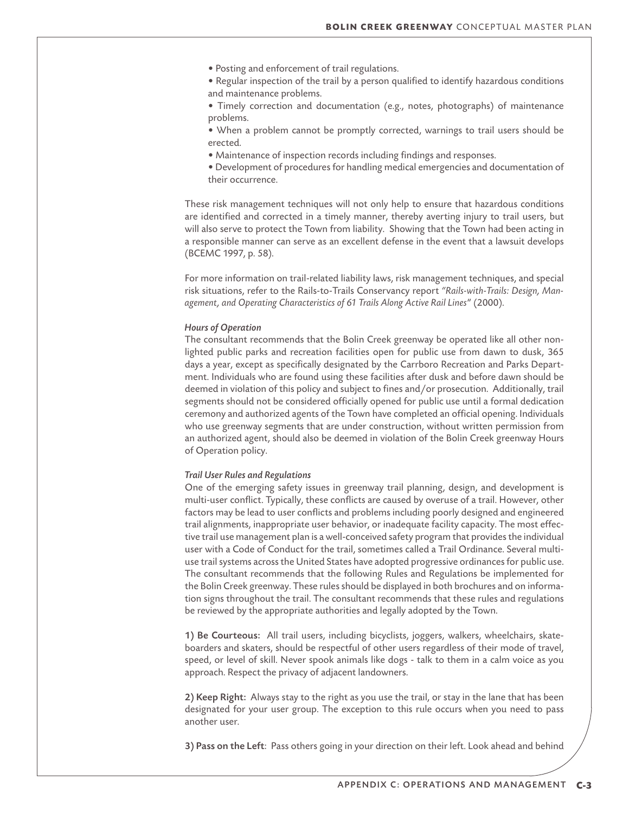• Posting and enforcement of trail regulations.

• Regular inspection of the trail by a person qualified to identify hazardous conditions and maintenance problems.

• Timely correction and documentation (e.g., notes, photographs) of maintenance problems.

• When a problem cannot be promptly corrected, warnings to trail users should be erected.

- Maintenance of inspection records including findings and responses.
- Development of procedures for handling medical emergencies and documentation of their occurrence.

These risk management techniques will not only help to ensure that hazardous conditions are identified and corrected in a timely manner, thereby averting injury to trail users, but will also serve to protect the Town from liability. Showing that the Town had been acting in a responsible manner can serve as an excellent defense in the event that a lawsuit develops (BCEMC 1997, p. 58).

For more information on trail-related liability laws, risk management techniques, and special risk situations, refer to the Rails-to-Trails Conservancy report *"Rails-with-Trails: Design, Management, and Operating Characteristics of 61 Trails Along Active Rail Lines*" (2000).

# *Hours of Operation*

The consultant recommends that the Bolin Creek greenway be operated like all other nonlighted public parks and recreation facilities open for public use from dawn to dusk, 365 days a year, except as specifically designated by the Carrboro Recreation and Parks Department. Individuals who are found using these facilities after dusk and before dawn should be deemed in violation of this policy and subject to fines and/or prosecution. Additionally, trail segments should not be considered officially opened for public use until a formal dedication ceremony and authorized agents of the Town have completed an official opening. Individuals who use greenway segments that are under construction, without written permission from an authorized agent, should also be deemed in violation of the Bolin Creek greenway Hours of Operation policy.

#### *Trail User Rules and Regulations*

One of the emerging safety issues in greenway trail planning, design, and development is multi-user conflict. Typically, these conflicts are caused by overuse of a trail. However, other factors may be lead to user conflicts and problems including poorly designed and engineered trail alignments, inappropriate user behavior, or inadequate facility capacity. The most effective trail use management plan is a well-conceived safety program that provides the individual user with a Code of Conduct for the trail, sometimes called a Trail Ordinance. Several multiuse trail systems across the United States have adopted progressive ordinances for public use. The consultant recommends that the following Rules and Regulations be implemented for the Bolin Creek greenway. These rules should be displayed in both brochures and on information signs throughout the trail. The consultant recommends that these rules and regulations be reviewed by the appropriate authorities and legally adopted by the Town.

1) Be Courteous: All trail users, including bicyclists, joggers, walkers, wheelchairs, skateboarders and skaters, should be respectful of other users regardless of their mode of travel, speed, or level of skill. Never spook animals like dogs - talk to them in a calm voice as you approach. Respect the privacy of adjacent landowners.

2) Keep Right: Always stay to the right as you use the trail, or stay in the lane that has been designated for your user group. The exception to this rule occurs when you need to pass another user.

3) Pass on the Left: Pass others going in your direction on their left. Look ahead and behind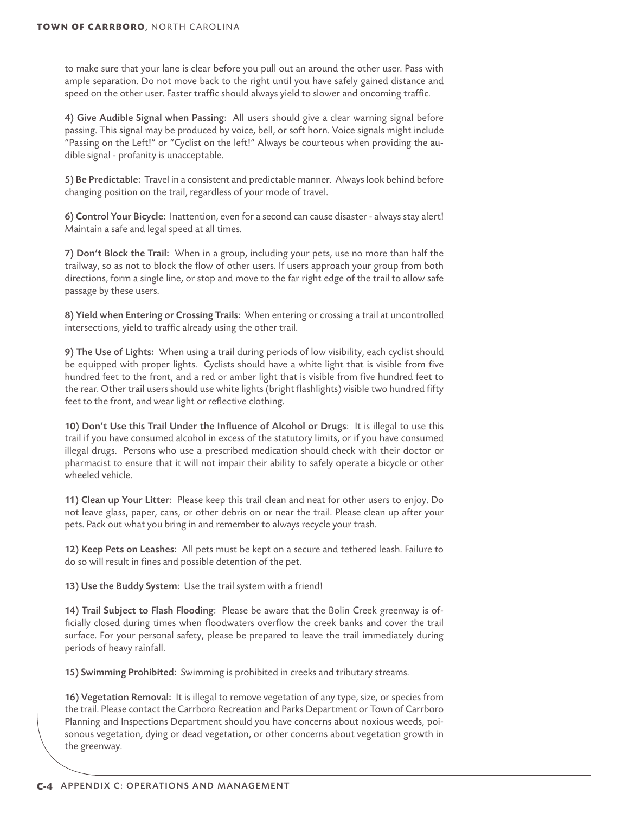to make sure that your lane is clear before you pull out an around the other user. Pass with ample separation. Do not move back to the right until you have safely gained distance and speed on the other user. Faster traffic should always yield to slower and oncoming traffic.

4) Give Audible Signal when Passing: All users should give a clear warning signal before passing. This signal may be produced by voice, bell, or soft horn. Voice signals might include "Passing on the Left!" or "Cyclist on the left!" Always be courteous when providing the audible signal - profanity is unacceptable.

5) Be Predictable: Travel in a consistent and predictable manner. Always look behind before changing position on the trail, regardless of your mode of travel.

6) Control Your Bicycle: Inattention, even for a second can cause disaster - always stay alert! Maintain a safe and legal speed at all times.

7) Don't Block the Trail: When in a group, including your pets, use no more than half the trailway, so as not to block the flow of other users. If users approach your group from both directions, form a single line, or stop and move to the far right edge of the trail to allow safe passage by these users.

8) Yield when Entering or Crossing Trails: When entering or crossing a trail at uncontrolled intersections, yield to traffic already using the other trail.

9) The Use of Lights: When using a trail during periods of low visibility, each cyclist should be equipped with proper lights. Cyclists should have a white light that is visible from five hundred feet to the front, and a red or amber light that is visible from five hundred feet to the rear. Other trail users should use white lights (bright flashlights) visible two hundred fifty feet to the front, and wear light or reflective clothing.

10) Don't Use this Trail Under the Influence of Alcohol or Drugs: It is illegal to use this trail if you have consumed alcohol in excess of the statutory limits, or if you have consumed illegal drugs. Persons who use a prescribed medication should check with their doctor or pharmacist to ensure that it will not impair their ability to safely operate a bicycle or other wheeled vehicle.

11) Clean up Your Litter: Please keep this trail clean and neat for other users to enjoy. Do not leave glass, paper, cans, or other debris on or near the trail. Please clean up after your pets. Pack out what you bring in and remember to always recycle your trash.

12) Keep Pets on Leashes: All pets must be kept on a secure and tethered leash. Failure to do so will result in fines and possible detention of the pet.

13) Use the Buddy System: Use the trail system with a friend!

14) Trail Subject to Flash Flooding: Please be aware that the Bolin Creek greenway is officially closed during times when floodwaters overflow the creek banks and cover the trail surface. For your personal safety, please be prepared to leave the trail immediately during periods of heavy rainfall.

15) Swimming Prohibited: Swimming is prohibited in creeks and tributary streams.

16) Vegetation Removal: It is illegal to remove vegetation of any type, size, or species from the trail. Please contact the Carrboro Recreation and Parks Department or Town of Carrboro Planning and Inspections Department should you have concerns about noxious weeds, poisonous vegetation, dying or dead vegetation, or other concerns about vegetation growth in the greenway.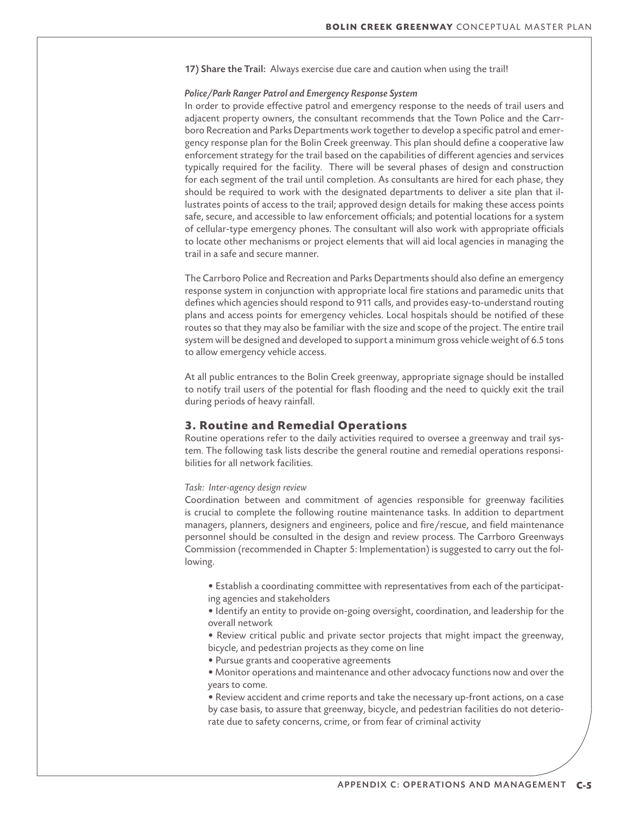17) Share the Trail: Always exercise due care and caution when using the trail!

# *Police/Park Ranger Patrol and Emergency Response System*

In order to provide effective patrol and emergency response to the needs of trail users and adjacent property owners, the consultant recommends that the Town Police and the Carrboro Recreation and Parks Departments work together to develop a specific patrol and emergency response plan for the Bolin Creek greenway. This plan should define a cooperative law enforcement strategy for the trail based on the capabilities of different agencies and services typically required for the facility. There will be several phases of design and construction for each segment of the trail until completion. As consultants are hired for each phase, they should be required to work with the designated departments to deliver a site plan that illustrates points of access to the trail; approved design details for making these access points safe, secure, and accessible to law enforcement officials; and potential locations for a system of cellular-type emergency phones. The consultant will also work with appropriate officials to locate other mechanisms or project elements that will aid local agencies in managing the trail in a safe and secure manner.

The Carrboro Police and Recreation and Parks Departments should also define an emergency response system in conjunction with appropriate local fire stations and paramedic units that defines which agencies should respond to 911 calls, and provides easy-to-understand routing plans and access points for emergency vehicles. Local hospitals should be notified of these routes so that they may also be familiar with the size and scope of the project. The entire trail system will be designed and developed to support a minimum gross vehicle weight of 6.5 tons to allow emergency vehicle access.

At all public entrances to the Bolin Creek greenway, appropriate signage should be installed to notify trail users of the potential for flash flooding and the need to quickly exit the trail during periods of heavy rainfall.

# **3. Routine and Remedial Operations**

Routine operations refer to the daily activities required to oversee a greenway and trail system. The following task lists describe the general routine and remedial operations responsibilities for all network facilities.

## *Task: Inter-agency design review*

Coordination between and commitment of agencies responsible for greenway facilities is crucial to complete the following routine maintenance tasks. In addition to department managers, planners, designers and engineers, police and fire/rescue, and field maintenance personnel should be consulted in the design and review process. The Carrboro Greenways Commission (recommended in Chapter 5: Implementation) is suggested to carry out the following.

- Establish a coordinating committee with representatives from each of the participating agencies and stakeholders
- Identify an entity to provide on-going oversight, coordination, and leadership for the overall network
- Review critical public and private sector projects that might impact the greenway, bicycle, and pedestrian projects as they come on line
- Pursue grants and cooperative agreements
- Monitor operations and maintenance and other advocacy functions now and over the years to come.
- Review accident and crime reports and take the necessary up-front actions, on a case by case basis, to assure that greenway, bicycle, and pedestrian facilities do not deteriorate due to safety concerns, crime, or from fear of criminal activity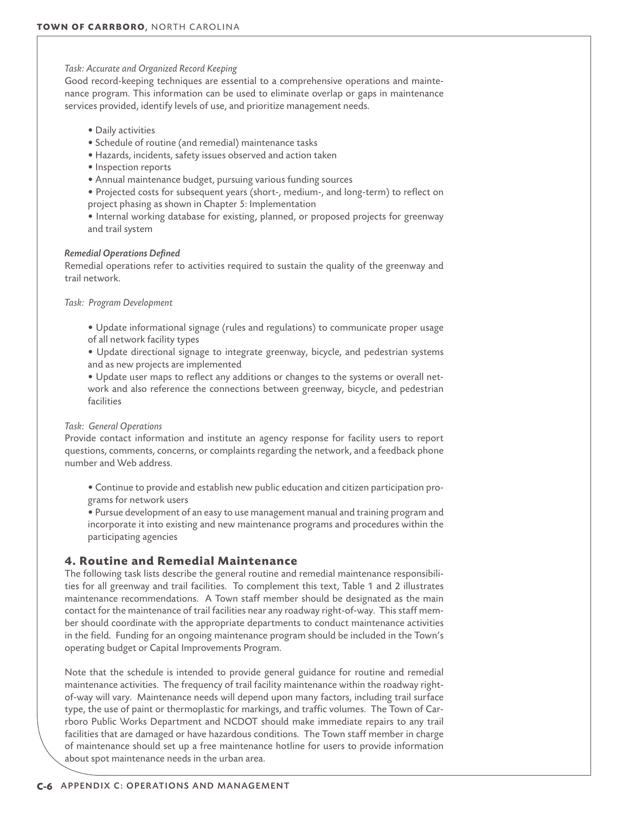*Task: Accurate and Organized Record Keeping*

Good record-keeping techniques are essential to a comprehensive operations and maintenance program. This information can be used to eliminate overlap or gaps in maintenance services provided, identify levels of use, and prioritize management needs.

- Daily activities
- Schedule of routine (and remedial) maintenance tasks
- Hazards, incidents, safety issues observed and action taken
- Inspection reports
- Annual maintenance budget, pursuing various funding sources
- Projected costs for subsequent years (short-, medium-, and long-term) to reflect on project phasing as shown in Chapter 5: Implementation
- Internal working database for existing, planned, or proposed projects for greenway and trail system

## *Remedial Operations Defined*

Remedial operations refer to activities required to sustain the quality of the greenway and trail network.

*Task: Program Development*

• Update informational signage (rules and regulations) to communicate proper usage of all network facility types

- Update directional signage to integrate greenway, bicycle, and pedestrian systems and as new projects are implemented
- Update user maps to reflect any additions or changes to the systems or overall network and also reference the connections between greenway, bicycle, and pedestrian facilities

## *Task: General Operations*

Provide contact information and institute an agency response for facility users to report questions, comments, concerns, or complaints regarding the network, and a feedback phone number and Web address.

• Continue to provide and establish new public education and citizen participation programs for network users

• Pursue development of an easy to use management manual and training program and incorporate it into existing and new maintenance programs and procedures within the participating agencies

# **4. Routine and Remedial Maintenance**

The following task lists describe the general routine and remedial maintenance responsibilities for all greenway and trail facilities. To complement this text, Table 1 and 2 illustrates maintenance recommendations. A Town staff member should be designated as the main contact for the maintenance of trail facilities near any roadway right-of-way. This staff member should coordinate with the appropriate departments to conduct maintenance activities in the field. Funding for an ongoing maintenance program should be included in the Town's operating budget or Capital Improvements Program.

Note that the schedule is intended to provide general guidance for routine and remedial maintenance activities. The frequency of trail facility maintenance within the roadway rightof-way will vary. Maintenance needs will depend upon many factors, including trail surface type, the use of paint or thermoplastic for markings, and traffic volumes. The Town of Carrboro Public Works Department and NCDOT should make immediate repairs to any trail facilities that are damaged or have hazardous conditions. The Town staff member in charge of maintenance should set up a free maintenance hotline for users to provide information about spot maintenance needs in the urban area.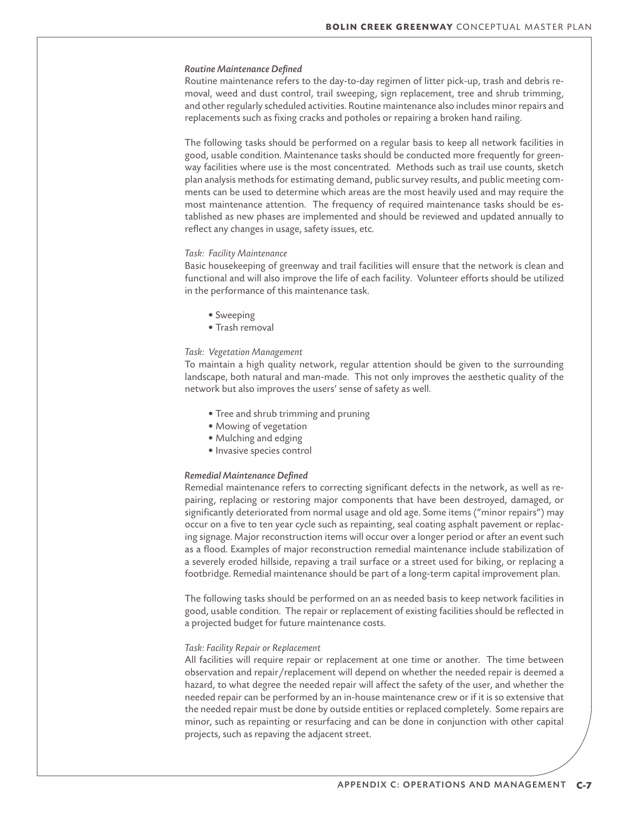## *Routine Maintenance Defined*

Routine maintenance refers to the day-to-day regimen of litter pick-up, trash and debris removal, weed and dust control, trail sweeping, sign replacement, tree and shrub trimming, and other regularly scheduled activities. Routine maintenance also includes minor repairs and replacements such as fixing cracks and potholes or repairing a broken hand railing.

The following tasks should be performed on a regular basis to keep all network facilities in good, usable condition. Maintenance tasks should be conducted more frequently for greenway facilities where use is the most concentrated. Methods such as trail use counts, sketch plan analysis methods for estimating demand, public survey results, and public meeting comments can be used to determine which areas are the most heavily used and may require the most maintenance attention. The frequency of required maintenance tasks should be established as new phases are implemented and should be reviewed and updated annually to reflect any changes in usage, safety issues, etc.

#### *Task: Facility Maintenance*

Basic housekeeping of greenway and trail facilities will ensure that the network is clean and functional and will also improve the life of each facility. Volunteer efforts should be utilized in the performance of this maintenance task.

- Sweeping
- Trash removal

## *Task: Vegetation Management*

To maintain a high quality network, regular attention should be given to the surrounding landscape, both natural and man-made. This not only improves the aesthetic quality of the network but also improves the users' sense of safety as well.

- Tree and shrub trimming and pruning
- Mowing of vegetation
- Mulching and edging
- Invasive species control

#### *Remedial Maintenance Defined*

Remedial maintenance refers to correcting significant defects in the network, as well as repairing, replacing or restoring major components that have been destroyed, damaged, or significantly deteriorated from normal usage and old age. Some items ("minor repairs") may occur on a five to ten year cycle such as repainting, seal coating asphalt pavement or replacing signage. Major reconstruction items will occur over a longer period or after an event such as a flood. Examples of major reconstruction remedial maintenance include stabilization of a severely eroded hillside, repaving a trail surface or a street used for biking, or replacing a footbridge. Remedial maintenance should be part of a long-term capital improvement plan.

The following tasks should be performed on an as needed basis to keep network facilities in good, usable condition. The repair or replacement of existing facilities should be reflected in a projected budget for future maintenance costs.

# *Task: Facility Repair or Replacement*

All facilities will require repair or replacement at one time or another. The time between observation and repair/replacement will depend on whether the needed repair is deemed a hazard, to what degree the needed repair will affect the safety of the user, and whether the needed repair can be performed by an in-house maintenance crew or if it is so extensive that the needed repair must be done by outside entities or replaced completely. Some repairs are minor, such as repainting or resurfacing and can be done in conjunction with other capital projects, such as repaving the adjacent street.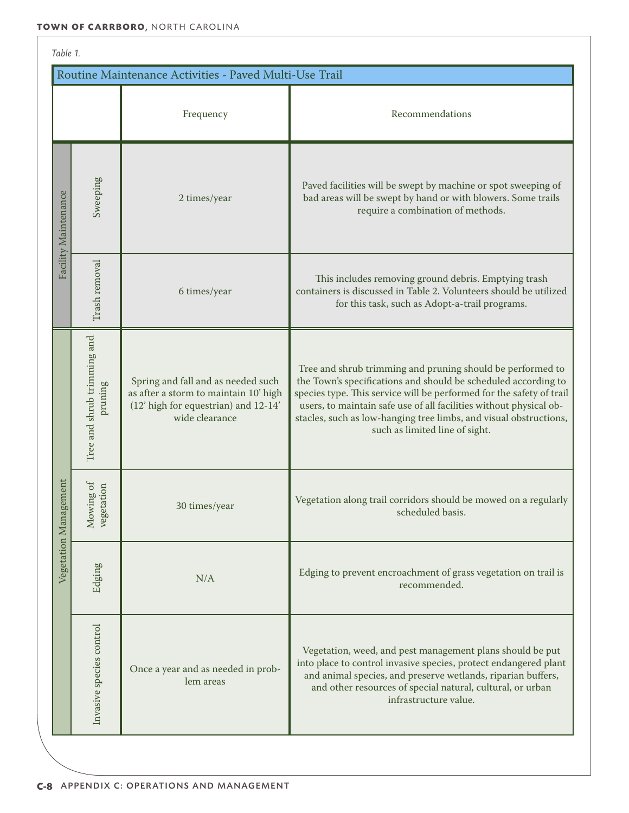| Table 1.                                               |                                        |                                                                                                                                       |                                                                                                                                                                                                                                                                                                                                                                                   |  |  |  |
|--------------------------------------------------------|----------------------------------------|---------------------------------------------------------------------------------------------------------------------------------------|-----------------------------------------------------------------------------------------------------------------------------------------------------------------------------------------------------------------------------------------------------------------------------------------------------------------------------------------------------------------------------------|--|--|--|
| Routine Maintenance Activities - Paved Multi-Use Trail |                                        |                                                                                                                                       |                                                                                                                                                                                                                                                                                                                                                                                   |  |  |  |
|                                                        |                                        | Frequency                                                                                                                             | Recommendations                                                                                                                                                                                                                                                                                                                                                                   |  |  |  |
| Facility Maintenance                                   | Sweeping                               | 2 times/year                                                                                                                          | Paved facilities will be swept by machine or spot sweeping of<br>bad areas will be swept by hand or with blowers. Some trails<br>require a combination of methods.                                                                                                                                                                                                                |  |  |  |
|                                                        | Trash removal                          | 6 times/year                                                                                                                          | This includes removing ground debris. Emptying trash<br>containers is discussed in Table 2. Volunteers should be utilized<br>for this task, such as Adopt-a-trail programs.                                                                                                                                                                                                       |  |  |  |
| ement)<br>Vegetation Manag                             | Tree and shrub trimming and<br>pruning | Spring and fall and as needed such<br>as after a storm to maintain 10' high<br>(12' high for equestrian) and 12-14'<br>wide clearance | Tree and shrub trimming and pruning should be performed to<br>the Town's specifications and should be scheduled according to<br>species type. This service will be performed for the safety of trail<br>users, to maintain safe use of all facilities without physical ob-<br>stacles, such as low-hanging tree limbs, and visual obstructions,<br>such as limited line of sight. |  |  |  |
|                                                        | Mowing of<br>vegetation                | 30 times/year                                                                                                                         | Vegetation along trail corridors should be mowed on a regularly<br>scheduled basis.                                                                                                                                                                                                                                                                                               |  |  |  |
|                                                        | Edging                                 | N/A                                                                                                                                   | Edging to prevent encroachment of grass vegetation on trail is<br>recommended.                                                                                                                                                                                                                                                                                                    |  |  |  |
|                                                        | Invasive species control               | Once a year and as needed in prob-<br>lem areas                                                                                       | Vegetation, weed, and pest management plans should be put<br>into place to control invasive species, protect endangered plant<br>and animal species, and preserve wetlands, riparian buffers,<br>and other resources of special natural, cultural, or urban<br>infrastructure value.                                                                                              |  |  |  |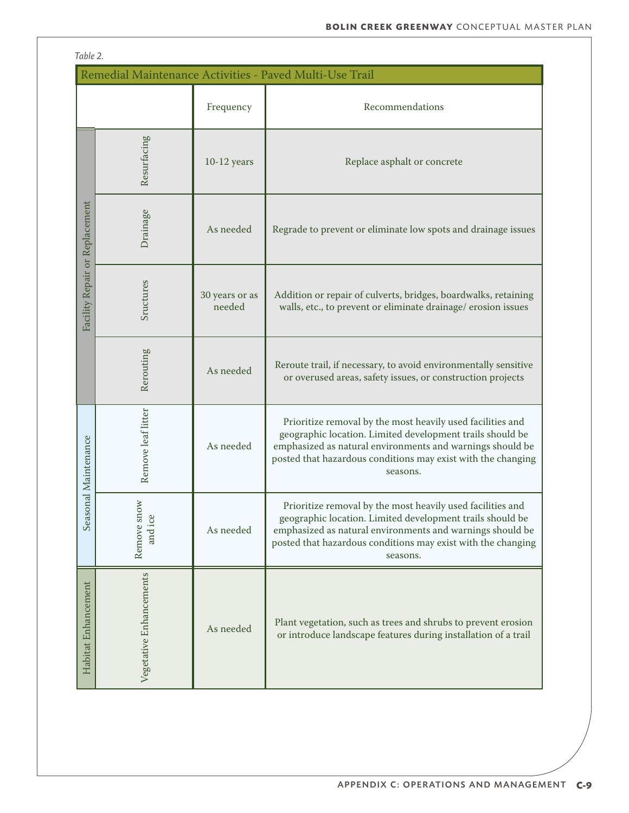| Table 2.                                                |                         |                          |                                                                                                                                                                                                                                                                  |  |  |
|---------------------------------------------------------|-------------------------|--------------------------|------------------------------------------------------------------------------------------------------------------------------------------------------------------------------------------------------------------------------------------------------------------|--|--|
| Remedial Maintenance Activities - Paved Multi-Use Trail |                         |                          |                                                                                                                                                                                                                                                                  |  |  |
|                                                         |                         | Frequency                | Recommendations                                                                                                                                                                                                                                                  |  |  |
| Facility Repair or Replacement                          | Resurfacing             | $10-12$ years            | Replace asphalt or concrete                                                                                                                                                                                                                                      |  |  |
|                                                         | Drainage                | As needed                | Regrade to prevent or eliminate low spots and drainage issues                                                                                                                                                                                                    |  |  |
|                                                         | Sructures               | 30 years or as<br>needed | Addition or repair of culverts, bridges, boardwalks, retaining<br>walls, etc., to prevent or eliminate drainage/erosion issues                                                                                                                                   |  |  |
|                                                         | Rerouting               | As needed                | Reroute trail, if necessary, to avoid environmentally sensitive<br>or overused areas, safety issues, or construction projects                                                                                                                                    |  |  |
| Seasonal Maintenance                                    | Remove leaf litter      | As needed                | Prioritize removal by the most heavily used facilities and<br>geographic location. Limited development trails should be<br>emphasized as natural environments and warnings should be<br>posted that hazardous conditions may exist with the changing<br>seasons. |  |  |
|                                                         | Remove snow<br>and ice  | As needed                | Prioritize removal by the most heavily used facilities and<br>geographic location. Limited development trails should be<br>emphasized as natural environments and warnings should be<br>posted that hazardous conditions may exist with the changing<br>seasons. |  |  |
| Habitat Enhancement                                     | Vegetative Enhancements | As needed                | Plant vegetation, such as trees and shrubs to prevent erosion<br>or introduce landscape features during installation of a trail                                                                                                                                  |  |  |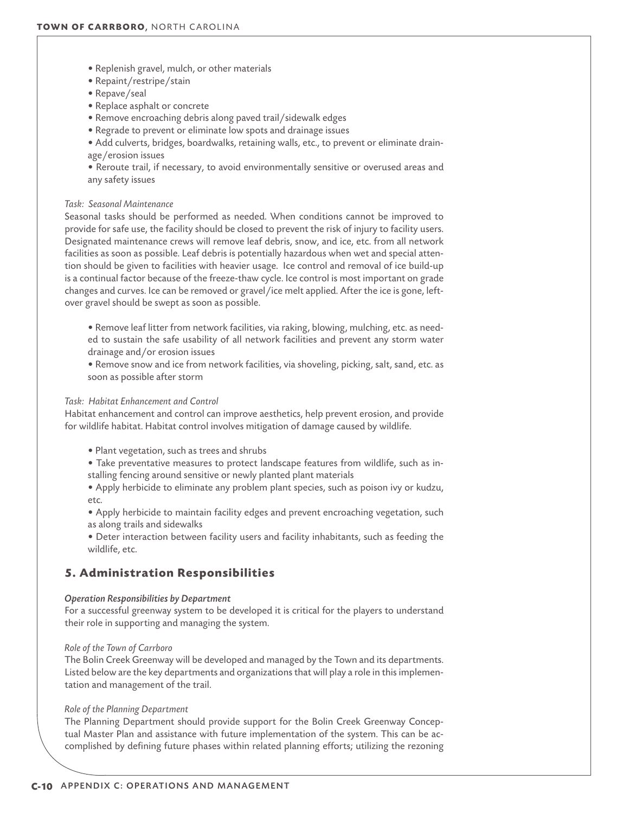- Replenish gravel, mulch, or other materials
- Repaint/restripe/stain
- Repave/seal
- Replace asphalt or concrete
- Remove encroaching debris along paved trail/sidewalk edges
- Regrade to prevent or eliminate low spots and drainage issues
- Add culverts, bridges, boardwalks, retaining walls, etc., to prevent or eliminate drainage/erosion issues
- Reroute trail, if necessary, to avoid environmentally sensitive or overused areas and any safety issues

# *Task: Seasonal Maintenance*

Seasonal tasks should be performed as needed. When conditions cannot be improved to provide for safe use, the facility should be closed to prevent the risk of injury to facility users. Designated maintenance crews will remove leaf debris, snow, and ice, etc. from all network facilities as soon as possible. Leaf debris is potentially hazardous when wet and special attention should be given to facilities with heavier usage. Ice control and removal of ice build-up is a continual factor because of the freeze-thaw cycle. Ice control is most important on grade changes and curves. Ice can be removed or gravel/ice melt applied. After the ice is gone, leftover gravel should be swept as soon as possible.

- Remove leaf litter from network facilities, via raking, blowing, mulching, etc. as needed to sustain the safe usability of all network facilities and prevent any storm water drainage and/or erosion issues
- Remove snow and ice from network facilities, via shoveling, picking, salt, sand, etc. as soon as possible after storm

# *Task: Habitat Enhancement and Control*

Habitat enhancement and control can improve aesthetics, help prevent erosion, and provide for wildlife habitat. Habitat control involves mitigation of damage caused by wildlife.

- Plant vegetation, such as trees and shrubs
- Take preventative measures to protect landscape features from wildlife, such as installing fencing around sensitive or newly planted plant materials
- Apply herbicide to eliminate any problem plant species, such as poison ivy or kudzu, etc.
- Apply herbicide to maintain facility edges and prevent encroaching vegetation, such as along trails and sidewalks
- Deter interaction between facility users and facility inhabitants, such as feeding the wildlife, etc.

# **5. Administration Responsibilities**

## *Operation Responsibilities by Department*

For a successful greenway system to be developed it is critical for the players to understand their role in supporting and managing the system.

# *Role of the Town of Carrboro*

The Bolin Creek Greenway will be developed and managed by the Town and its departments. Listed below are the key departments and organizations that will play a role in this implementation and management of the trail.

## *Role of the Planning Department*

The Planning Department should provide support for the Bolin Creek Greenway Conceptual Master Plan and assistance with future implementation of the system. This can be accomplished by defining future phases within related planning efforts; utilizing the rezoning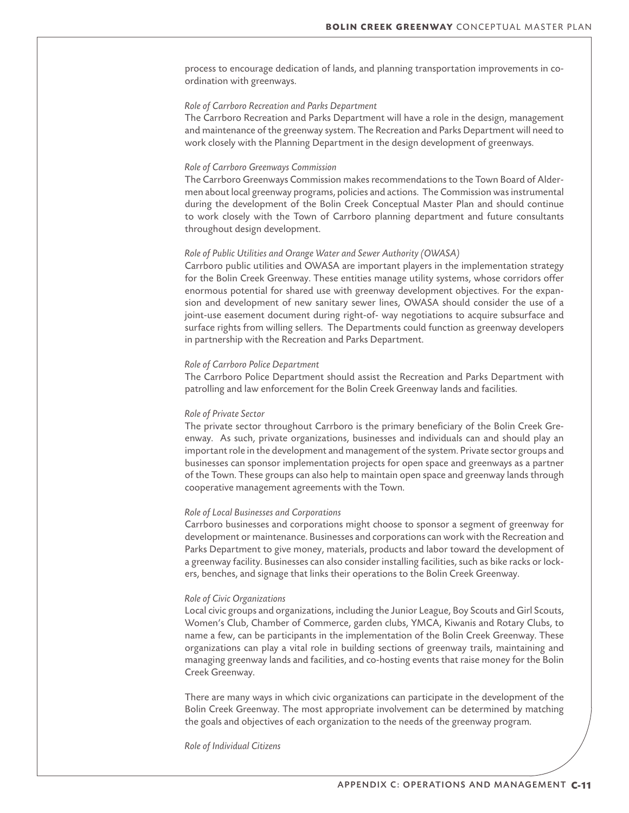process to encourage dedication of lands, and planning transportation improvements in coordination with greenways.

# *Role of Carrboro Recreation and Parks Department*

The Carrboro Recreation and Parks Department will have a role in the design, management and maintenance of the greenway system. The Recreation and Parks Department will need to work closely with the Planning Department in the design development of greenways.

# *Role of Carrboro Greenways Commission*

The Carrboro Greenways Commission makes recommendations to the Town Board of Aldermen about local greenway programs, policies and actions. The Commission was instrumental during the development of the Bolin Creek Conceptual Master Plan and should continue to work closely with the Town of Carrboro planning department and future consultants throughout design development.

#### *Role of Public Utilities and Orange Water and Sewer Authority (OWASA)*

Carrboro public utilities and OWASA are important players in the implementation strategy for the Bolin Creek Greenway. These entities manage utility systems, whose corridors offer enormous potential for shared use with greenway development objectives. For the expansion and development of new sanitary sewer lines, OWASA should consider the use of a joint-use easement document during right-of- way negotiations to acquire subsurface and surface rights from willing sellers. The Departments could function as greenway developers in partnership with the Recreation and Parks Department.

#### *Role of Carrboro Police Department*

The Carrboro Police Department should assist the Recreation and Parks Department with patrolling and law enforcement for the Bolin Creek Greenway lands and facilities.

#### *Role of Private Sector*

The private sector throughout Carrboro is the primary beneficiary of the Bolin Creek Greenway. As such, private organizations, businesses and individuals can and should play an important role in the development and management of the system. Private sector groups and businesses can sponsor implementation projects for open space and greenways as a partner of the Town. These groups can also help to maintain open space and greenway lands through cooperative management agreements with the Town.

# *Role of Local Businesses and Corporations*

Carrboro businesses and corporations might choose to sponsor a segment of greenway for development or maintenance. Businesses and corporations can work with the Recreation and Parks Department to give money, materials, products and labor toward the development of a greenway facility. Businesses can also consider installing facilities, such as bike racks or lockers, benches, and signage that links their operations to the Bolin Creek Greenway.

#### *Role of Civic Organizations*

Local civic groups and organizations, including the Junior League, Boy Scouts and Girl Scouts, Women's Club, Chamber of Commerce, garden clubs, YMCA, Kiwanis and Rotary Clubs, to name a few, can be participants in the implementation of the Bolin Creek Greenway. These organizations can play a vital role in building sections of greenway trails, maintaining and managing greenway lands and facilities, and co-hosting events that raise money for the Bolin Creek Greenway.

There are many ways in which civic organizations can participate in the development of the Bolin Creek Greenway. The most appropriate involvement can be determined by matching the goals and objectives of each organization to the needs of the greenway program.

*Role of Individual Citizens*